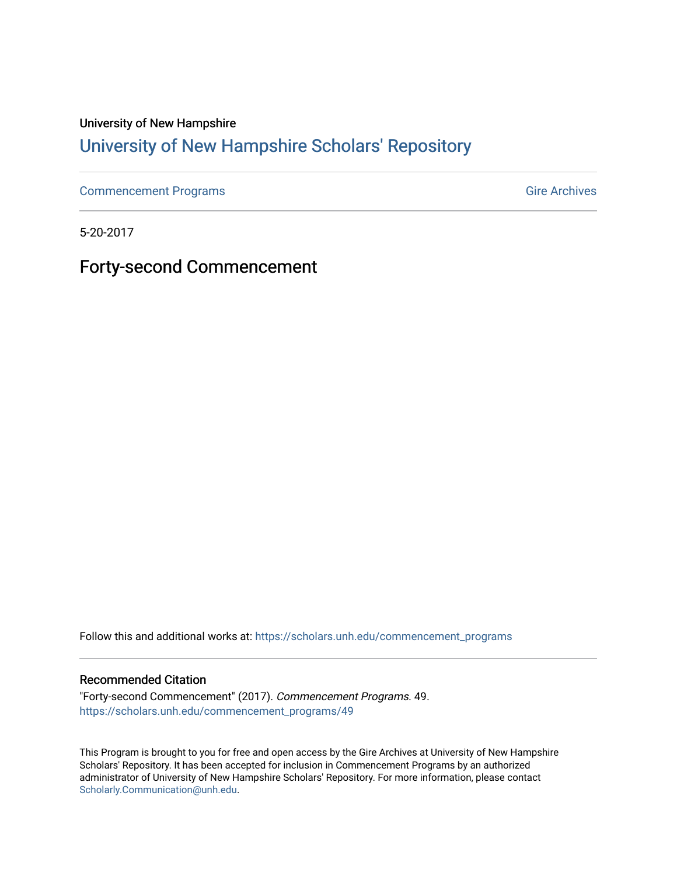#### University of New Hampshire

### [University of New Hampshire Scholars' Repository](https://scholars.unh.edu/)

[Commencement Programs](https://scholars.unh.edu/commencement_programs) Gire Archives

5-20-2017

Forty-second Commencement

Follow this and additional works at: [https://scholars.unh.edu/commencement\\_programs](https://scholars.unh.edu/commencement_programs?utm_source=scholars.unh.edu%2Fcommencement_programs%2F49&utm_medium=PDF&utm_campaign=PDFCoverPages) 

#### Recommended Citation

"Forty-second Commencement" (2017). Commencement Programs. 49. [https://scholars.unh.edu/commencement\\_programs/49](https://scholars.unh.edu/commencement_programs/49?utm_source=scholars.unh.edu%2Fcommencement_programs%2F49&utm_medium=PDF&utm_campaign=PDFCoverPages)

This Program is brought to you for free and open access by the Gire Archives at University of New Hampshire Scholars' Repository. It has been accepted for inclusion in Commencement Programs by an authorized administrator of University of New Hampshire Scholars' Repository. For more information, please contact [Scholarly.Communication@unh.edu](mailto:Scholarly.Communication@unh.edu).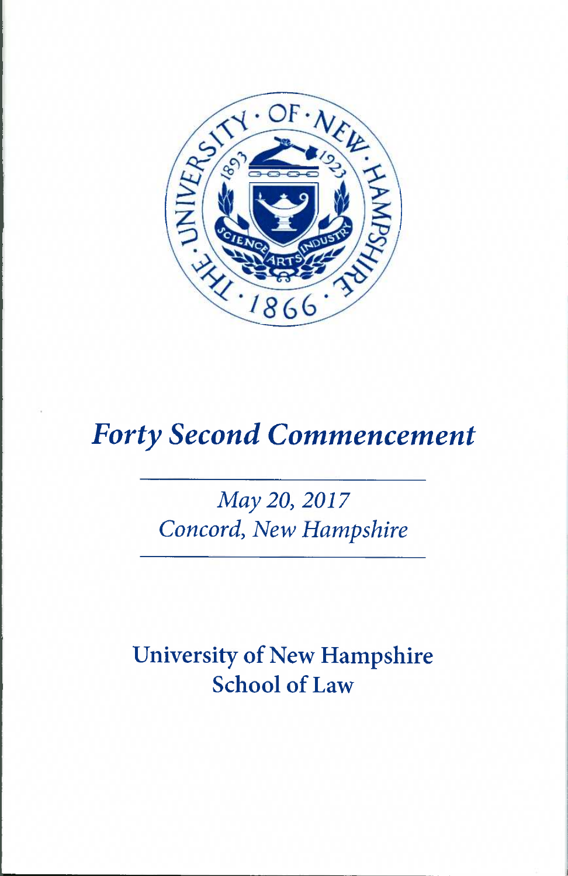

# *Forty Second Commencement*

# *May 20, 2017 Concord, New Hampshire*

University of New Hampshire School of Law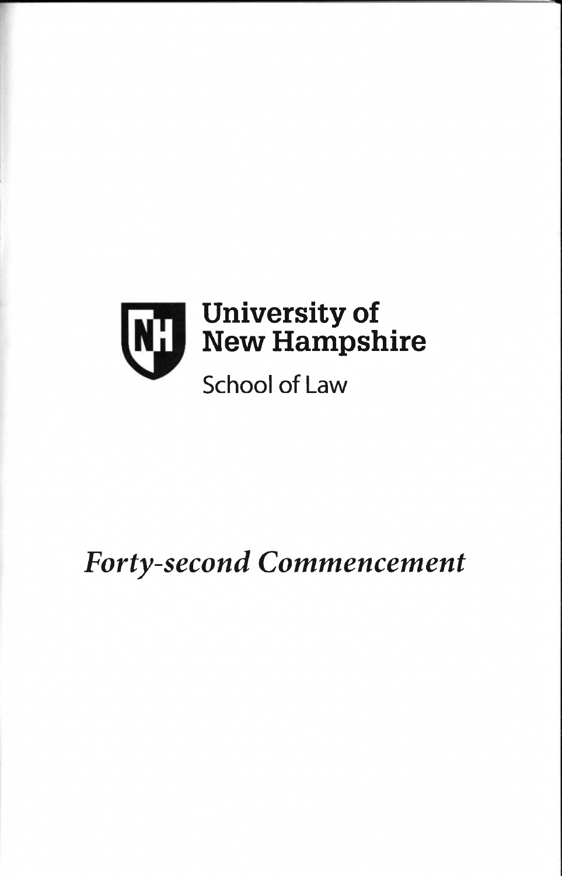

# *Forty-second Commencement*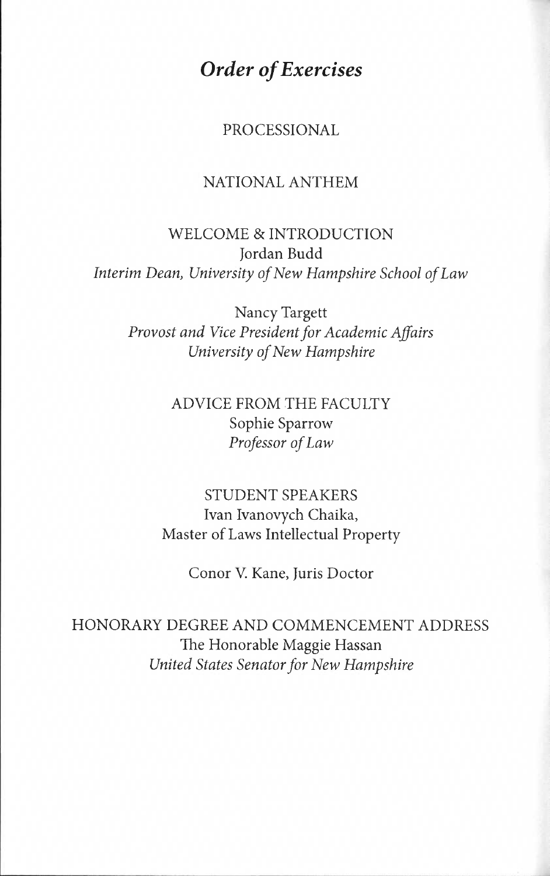*Order of Exercises* 

PROCESSIONAL

### NATIONAL ANTHEM

WELCOME & INTRODUCTION Jordan Budd *Interim Dean, University of New Hampshire School of Law* 

Nancy Targett *Provost and Vice President for Academic Affairs University of New Hampshire* 

> ADVICE FROM THE FACULTY Sophie Sparrow *Professor of Law*

STUDENT SPEAKERS Ivan Ivanovych Chaika, Master of Laws Intellectual Property

Conor V. Kane, Juris Doctor

HONORARY DEGREE AND COMMENCEMENT ADDRESS The Honorable Maggie Hassan *United States Senator for New Hampshire*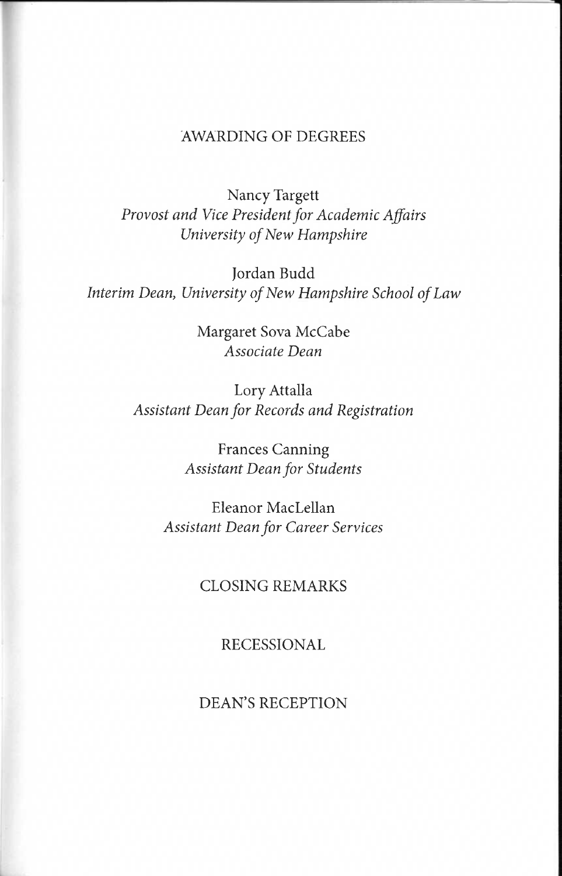#### AWARDING OF DEGREES

Nancy Targett *Provost and Vice President for Academic Affairs University of New Hampshire* 

Jordan Budd *Interim Dean, University of New Hampshire School of Law* 

> Margaret Sova McCabe *Associate Dean*

Lory Attalla *Assistant Dean for Records and Registration* 

> Frances Canning *Assistant Dean for Students*

Eleanor MacLellan *Assistant Dean for Career Services* 

#### CLOSING REMARKS

#### RECESSIONAL

DEAN'S RECEPTION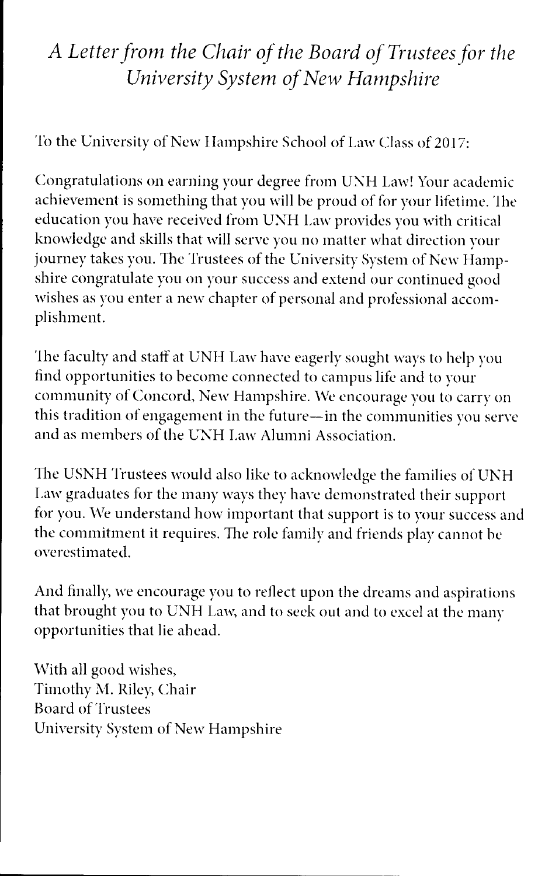# *A Letter from the Chair of the Board of Trustees for the University System of New Hampshire*

To the University of New Hampshire School of Law Class of 2017:

Congratulations on earning your degree from UNH Law! Your academic achievement is something that you will be proud of for your lifetime. The education you have received from UNH Law provides you with critical knowledge and skills that will serve you no matter what direction your journey takes you. The Trustees of the University System of New Hampshire congratulate you on your success and extend our continued good wishes as you enter a new chapter of personal and professional accomplishment.

The faculty and staff at UNH Law have eagerly sought ways to help you find opportunities to become connected to campus life and to your community of Concord, New Hampshire. We encourage you to carry on this tradition of engagement in the future—in the communities you serve and as members of the UNH Law Alumni Association.

The USNH Trustees would also like to acknowledge the families of UNH Law graduates for the many ways they have demonstrated their support for you. We understand how important that support is to your success and the commitment it requires. The role family and friends play cannot be overestimated.

And finally, we encourage you to reflect upon the dreams and aspirations that brought you to UNH Law, and to seek out and to excel at the many opportunities that lie ahead.

With all good wishes, Timothy M. Riley, Chair Board of Trustees University System of New Hampshire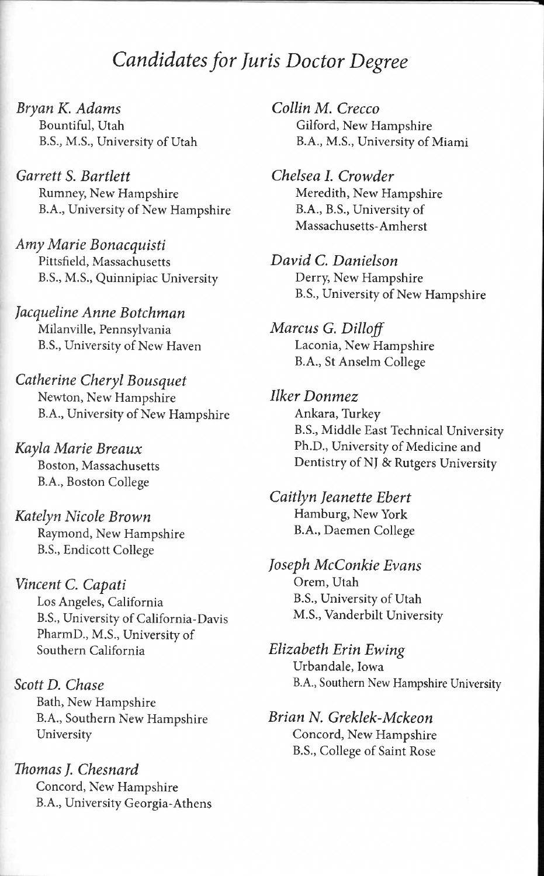### *Candidates for Juris Doctor Degree*

*Bryan K. Adams*  Bountiful, Utah B.S., M.S., University of Utah

*Garrett S. Bartlett*  Rumney, New Hampshire B.A., University of New Hampshire

*Amy Marie Bonacquisti*  Pittsfield, Massachusetts B.S., M.S., Quinnipiac University

*Jacqueline Anne Botchman*  Milanville, Pennsylvania B.S., University of New Haven

*Catherine Cheryl Bousquet*  Newton, New Hampshire B.A., University of New Hampshire

*Kayla Marie Breaux*  Boston, Massachusetts B.A., Boston College

*Katelyn Nicole Brown*  Raymond, New Hampshire B.S., Endicott College

*Vincent C. Capati*  Los Angeles, California B.S., University of California-Davis PharmD., M.S., University of Southern California

*Scott D. Chase*  Bath, New Hampshire B.A., Southern New Hampshire University

*Thomas J. Chesnard*  Concord, New Hampshire B.A., University Georgia-Athens *Collin M. Crecco*  Gilford, New Hampshire B.A., M.S., University of Miami

*Chelsea I. Crowder*  Meredith, New Hampshire B.A., B.S., University of Massachusetts-Amherst

*David C. Danielson*  Derry, New Hampshire B.S., University of New Hampshire

*Marcus G. Dilloff*  Laconia, New Hampshire B.A., St Anselm College

*Ilker Donmez*  Ankara, Turkey B.S., Middle East Technical University Ph.D., University of Medicine and Dentistry of NJ & Rutgers University

*Caitlyn Jeanette Ebert*  Hamburg, New York B.A., Daemen College

*Joseph McConkie Evans*  Orem, Utah B.S., University of Utah M.S., Vanderbilt University

*Elizabeth Erin Ewing*  Urbandale, Iowa B.A., Southern New Hampshire University

*Brian N. Greklek-Mckeon*  Concord, New Hampshire B.S., College of Saint Rose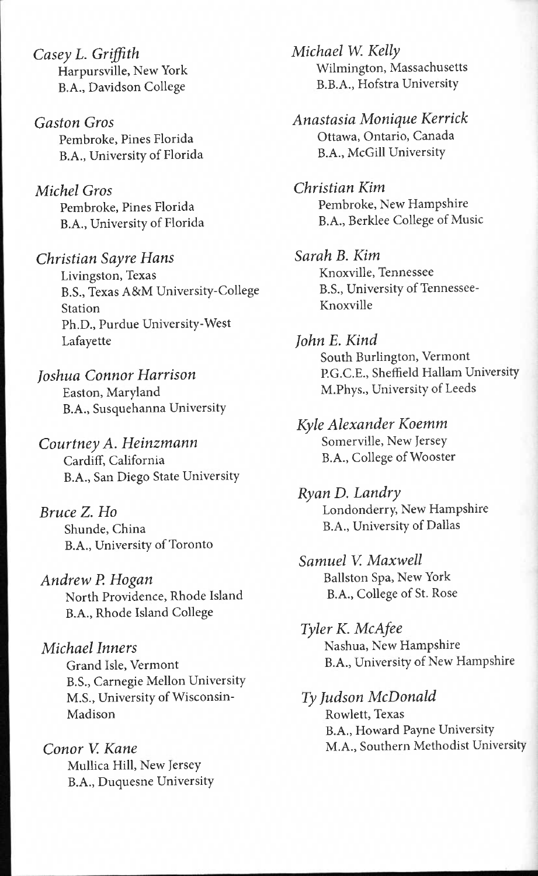*Casey L. Griffith*  Harpursville, New York B.A., Davidson College

*Gaston Gros*  Pembroke, Pines Florida B.A., University of Florida

*Michel Gros*  Pembroke, Pines Florida B.A., University of Florida

*Christian Sayre Hans*  Livingston, Texas B.S., Texas A&M University-College Station Ph.D., Purdue University-West Lafayette

*Joshua Connor Harrison*  Easton, Maryland B.A., Susquehanna University

*Courtney A. Heinzmann*  Cardiff, California B.A., San Diego State University

*Bruce Z. Ho*  Shunde, China B.A., University of Toronto

*Andrew P. Hogan*  North Providence, Rhode Island B.A., Rhode Island College

*Michael Inners*  Grand Isle, Vermont B.S., Carnegie Mellon University M.S., University of Wisconsin-Madison

*Conor V. Kane*  Mullica Hill, New Jersey B.A., Duquesne University *Michael W. Kelly*  Wilmington, Massachusetts B.B.A., Hofstra University

*Anastasia Monique Kerrick*  Ottawa, Ontario, Canada B.A., McGill University

*Christian Kim*  Pembroke, New Hampshire B. A., Berklee College of Music

*Sarah B. Kim*  Knoxville, Tennessee B.S., University of Tennessee-Knoxville

*John E. Kind*  South Burlington, Vermont P.G.C.E., Sheffield Hallam University M.Phys., University of Leeds

*Kyle Alexander Koemm*  Somerville, New Jersey B.A., College of Wooster

*RyanD. Landry*  Londonderry, New Hampshire B. A., University of Dallas

*Samuel V. Maxwell*  Ballston Spa, New York B.A., College of St. Rose

*Tyler K. McAfee*  Nashua, New Hampshire B.A., University of New Hampshire

*Ty Judson McDonald*  Rowlett, Texas B.A., Howard Payne University M.A., Southern Methodist University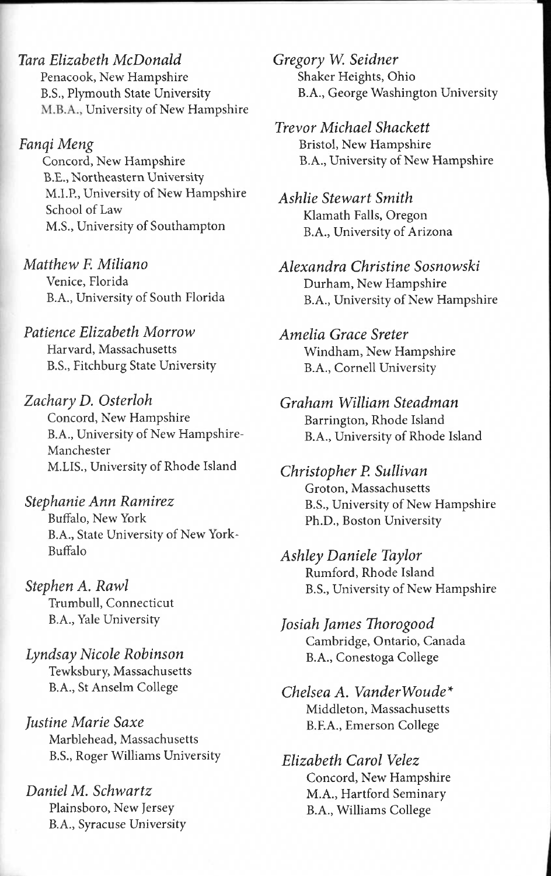*Tara Elizabeth McDonald*  Penacook, New Hampshire B.S., Plymouth State University M.B.A., University of New Hampshire

*Fanqi Meng*  Concord, New Hampshire B.E., Northeastern University M.I.P., University of New Hampshire School of Law M.S., University of Southampton

*Matthew F. Miliano*  Venice, Florida B.A., University of South Florida

*Patience Elizabeth Morrow*  Harvard, Massachusetts B.S., Fitchburg State University

*Zachary D. Osterloh*  Concord, New Hampshire B.A., University of New Hampshire-Manchester M.LIS., University of Rhode Island

*Stephanie Ann Ramirez*  Buffalo, New York B.A., State University of New York-Buffalo

*Stephen A. Rawl*  Trumbull, Connecticut B.A., Yale University

*Lyndsay Nicole Robinson*  Tewksbury, Massachusetts B.A., St Anselm College *Chelsea A. VanderWoude\** 

*Justine Marie Saxe* B.F.A., Emerson College Marblehead, Massachusetts B.S., Roger Wilhams University *Elizabeth Carol Velez* 

B.A., Syracuse University

*Gregory W. Seidner*  Shaker Heights, Ohio B.A., George Washington University

*Trevor Michael Shackett*  Bristol, New Hampshire B.A., University of New Hampshire

*Ashlie Stewart Smith*  Klamath Falls, Oregon B.A., University of Arizona

*Alexandra Christine Sosnowski*  Durham, New Hampshire B.A., University of New Hampshire

*Amelia Grace Sreter*  Windham, New Hampshire B.A., Cornell University

*Graham William Steadman*  Barrington, Rhode Island B. A., University of Rhode Island

*Christopher P. Sullivan*  Groton, Massachusetts B.S., University of New Hampshire Ph.D., Boston University

*Ashley Daniele Taylor*  Rumford, Rhode Island B.S., University of New Hampshire

*Josiah James Thorogood*  Cambridge, Ontario, Canada B.A., Conestoga College

Middleton, Massachusetts

Concord, New Hampshire *Daniel M. Schwartz* M.A., Hartford Seminary Plainsboro, New Jersey B.A., Williams College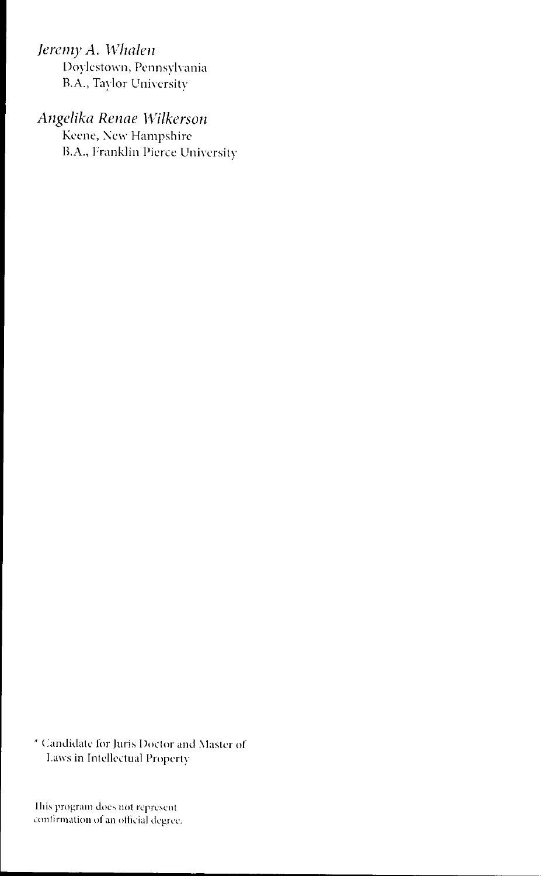*Jeremy A. Whalen* 

Doylestown, Pennsylvania B.A., Taylor University

*Angelika Renae Wilkerson* 

,<br>Keene, New Hampshire B.A., Franklin Pierce University

\* Candidate for Juris Doctor and Master of Laws in Intellectual Property

This program does not represent confirmation of an official degree.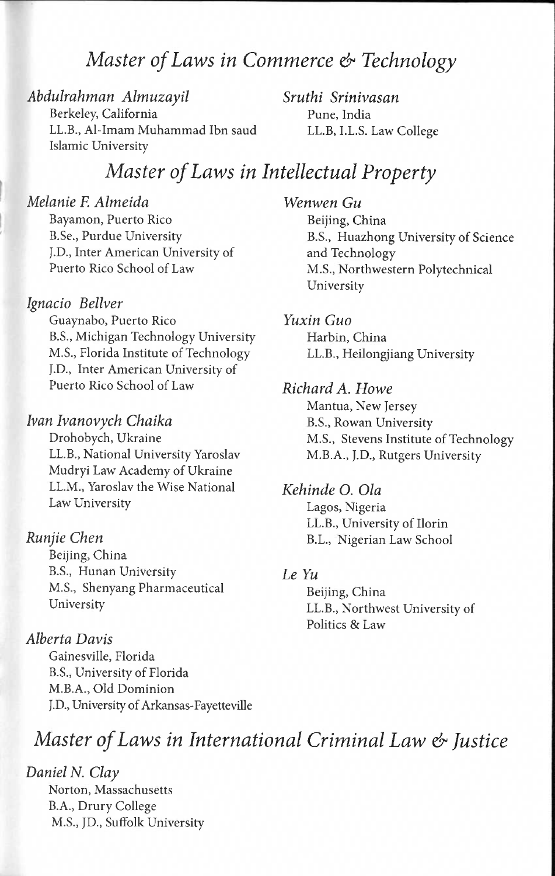### *Master of Laws in Commerce & Technology*

*Abdulrahman Almuzayil*  Berkeley, California LL.B., Al-Imam Muhammad Ibn saud Islamic University

*Sruthi Srinivasan*  Pune, India LL.B, I.L.S. Law College

### *Master of Laws in Intellectual Property*

*Melanie F. Almeida*  Bayamon, Puerto Rico B.Se., Purdue University J.D., Inter American University of Puerto Rico School of Law

#### *Ignacio Bellver*

Guaynabo, Puerto Rico B.S., Michigan Technology University M.S., Florida Institute of Technology J.D., Inter American University of Puerto Rico School of Law

#### *Ivan Ivanovych Chaika*

Drohobych, Ukraine LL.B., National University Yaroslav Mudryi Law Academy of Ukraine LL.M., Yaroslav the Wise National Law University

#### *Runjie Chen*

Beijing, China B.S., Hunan University M.S., Shenyang Pharmaceutical University

#### *Alberta Davis*

Gainesville, Florida B.S., University of Florida M.B.A., Old Dominion J.D., University of Arkansas-Fayetteville *Wenwen Gu*  Beijing, China B.S., Huazhong University of Science and Technology M.S., Northwestern Polytechnical University

*Yuxin Guo*  Harbin, China LL.B., Heilongjiang University

#### *Richard A. Howe*

Mantua, New Jersey B.S., Rowan University M.S., Stevens Institute of Technology M.B.A., J.D., Rutgers University

#### *Kehinde O. Ola*

Lagos, Nigeria LL.B., University of Ilorin B.L., Nigerian Law School

#### *Le Yu*

Beijing, China LL.B., Northwest University of Politics & Law

### *Master of Laws in International Criminal Law & Justice*

*Daniel N. Clay*  Norton, Massachusetts B.A., Drury College M.S., JD., Suffolk University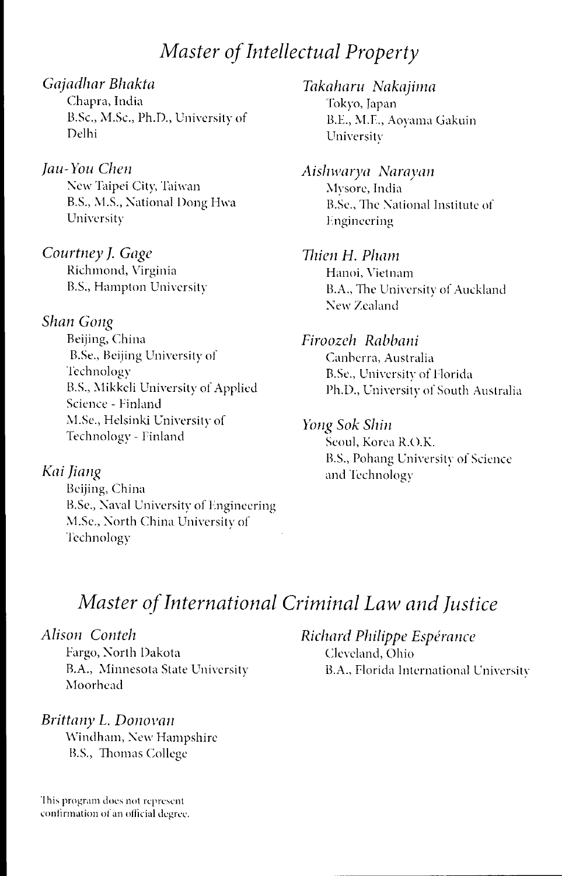### *Master of Intellectual Property*

#### *Gajadhar Bhakta*

Chapra, India B.Sc., M.Sc., Ph.D., University of Delhi

### *Jau-You Chen*

New Taipei City, Taiwan B.S., M.S., National Dong Hwa University

*Courtney J. Gage*  Richmond, Virginia B.S., Hampton University

#### *Shan Gong*

Beijing, China B.Se., Beijing University of **Technology** B.S., Mikkeli University of Applied Science - Finland M.Se., Helsinki University of Technology - Finland

#### *Kai Jiang*

Beijing, China B.Se., Naval University of Engineering M.Se., North China University of Technology

*Takaharu Nakajima*  Tokyo, Japan B.E., M.E., Aoyama Gakuin University

*Aishwarya Narayan*  Mysore, India B.Se., The National Institute of Engineering

#### *Ihien H. Pham*  Hanoi, Vietnam

B.A., The University of Auckland New Zealand

#### *Firoozeh Rabbani*

Canberra, Australia B.Se., University of Florida Ph.D., University of South Australia

#### *Yong Sok Shin*

Seoul, Korea R.O.K. B.S., Pohang University of Science and Technology

### *Master of International Criminal Law and Justice*

Fargo, North Dakota Cleveland, Ohio Moorhead

#### *Brittany L. Donovan*

Windham, New Hampshire B.S., Thomas College

This program does not represent confirmation of an official degree.

*Alison Conteh Richard Philippe Esperance*  B.A., Minnesota State University B.A., Florida International University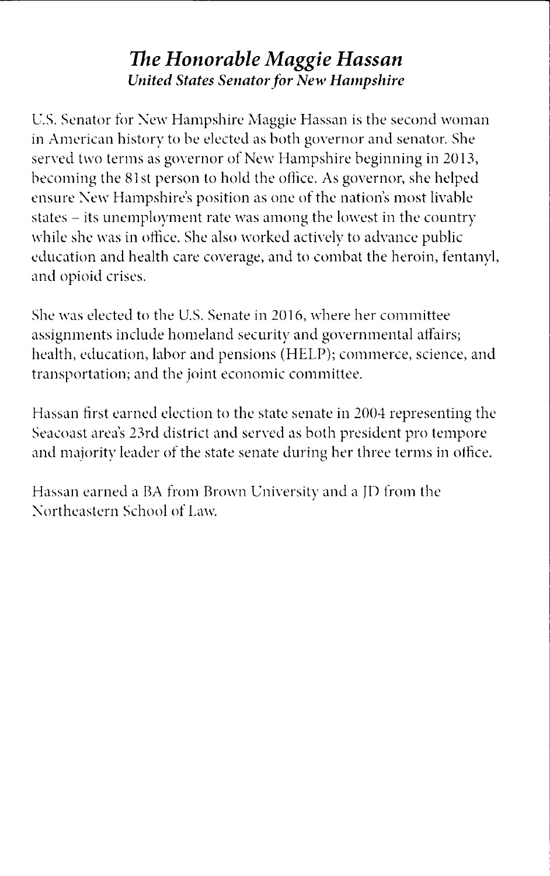### *The Honorable Maggie Hassan United States Senator for New Hampshire*

U.S. Senator for New Hampshire Maggie Hassan is the second woman in American history to be elected as both governor and senator. She served two terms as governor of New Hampshire beginning in 2013, becoming the 81st person to hold the office. As governor, she helped ensure New Hampshire's position as one of the nation's most livable states - its unemployment rate was among the lowest in the country while she was in office. She also worked actively to advance public education and health care coverage, and to combat the heroin, fentanyl, and opioid crises.

She was elected to the U.S. Senate in 2016, where her committee assignments include homeland security and governmental affairs; health, education, labor and pensions (HELP); commerce, science, and transportation; and the joint economic committee.

Hassan first earned election to the state senate in 2004 representing the Seacoast area's 23rd district and served as both president pro tempore and majority leader of the state senate during her three terms in office.

Hassan earned a BA from Brown University and a JD from the Northeastern School of Law.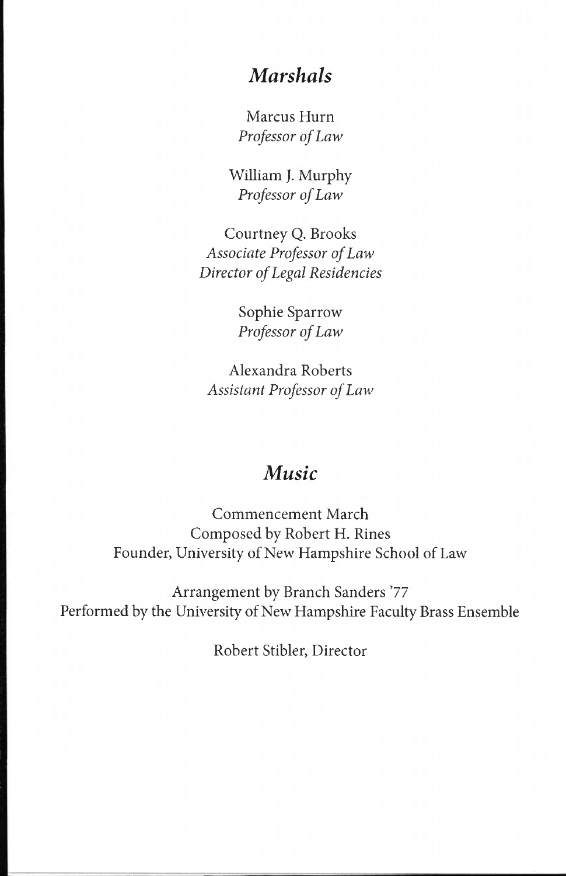### *Marshals*

Marcus Hum *Professor of Law* 

William J. Murphy *Professor of Law* 

Courtney Q. Brooks *Associate Professor of Law Director of Legal Residencies* 

> Sophie Sparrow *Professor of Law*

Alexandra Roberts *Assistant Professor of Law* 

### *Music*

Commencement March Composed by Robert H. Rines Founder, University of New Hampshire School of Law

Arrangement by Branch Sanders '77 Performed by the University of New Hampshire Faculty Brass Ensemble

Robert Stibler, Director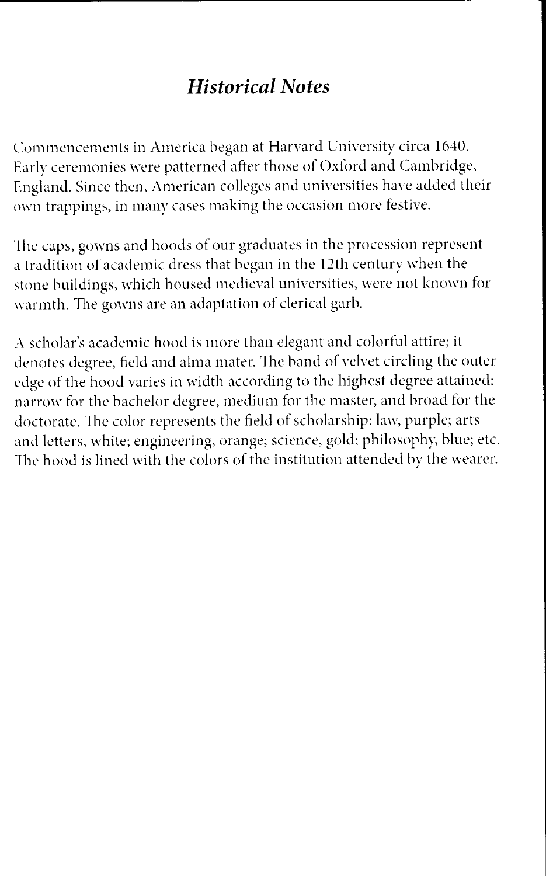## *Historical Notes*

Commencements in America began at Harvard University circa 1640. Early ceremonies were patterned after those of Oxford and Cambridge, England. Since then, American colleges and universities have added their own trappings, in many cases making the occasion more festive.

The caps, gowns and hoods of our graduates in the procession represent a tradition of academic dress that began in the 12th century when the stone buildings, which housed medieval universities, were not known for warmth. The gowns are an adaptation of clerical garb.

A scholar's academic hood is more than elegant and colorful attire; it denotes degree, field and alma mater. The band of velvet circling the outer edge of the hood varies in width according to the highest degree attained: narrow for the bachelor degree, medium for the master, and broad for the doctorate. The color represents the field of scholarship: law, purple; arts and letters, white; engineering, orange; science, gold; philosophy, blue; etc. The hood is lined with the colors of the institution attended by the wearer.